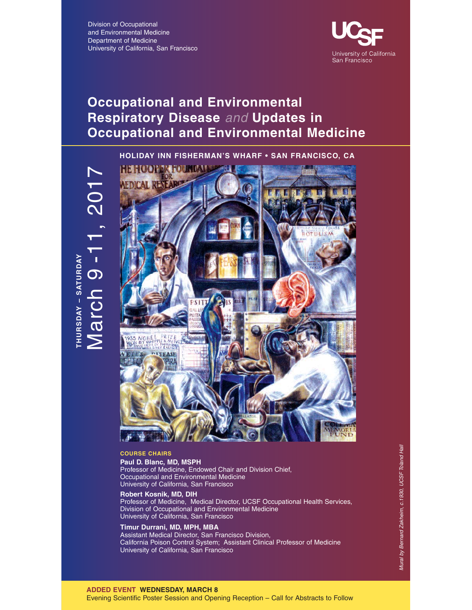Division of Occupational and Environmental Medicine Department of Medicine University of California, San Francisco



# **Occupational and Environmental Respiratory Disease** and **Updates in Occupational and Environmental Medicine**

**HOLIDAY INN FISHERMAN'S WHARF • SAN FRANCISCO, CA**



### **COURSE CHAIRS**

**Paul D. Blanc, MD, MSPH** Professor of Medicine, Endowed Chair and Division Chief, Occupational and Environmental Medicine University of California, San Francisco

### **Robert Kosnik, MD, DIH**

Professor of Medicine, Medical Director, UCSF Occupational Health Services, Division of Occupational and Environmental Medicine University of California, San Francisco

### **Timur Durrani, MD, MPH, MBA**

Assistant Medical Director, San Francisco Division, California Poison Control System; Assistant Clinical Professor of Medicine University of California, San Francisco

### **ADDED EVENT WEDNESDAY, MARCH 8**

Evening Scientific Poster Session and Opening Reception – Call for Abstracts to Follow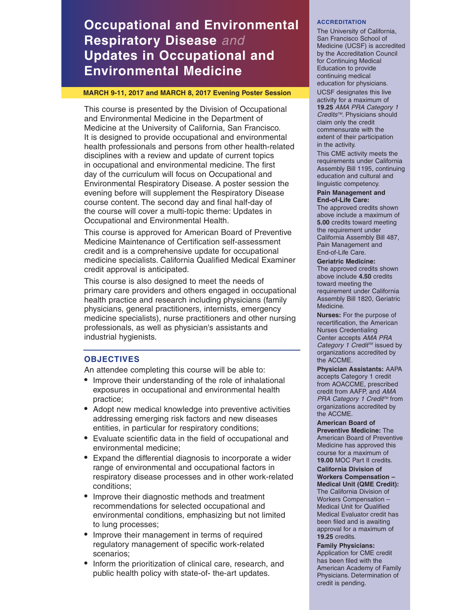# **Occupational and Environmental Respiratory Disease** and **Updates in Occupational and Environmental Medicine**

### **MARCH 9-11, 2017 and MARCH 8, 2017 Evening Poster Session**

This course is presented by the Division of Occupational and Environmental Medicine in the Department of Medicine at the University of California, San Francisco. It is designed to provide occupational and environmental health professionals and persons from other health-related disciplines with a review and update of current topics in occupational and environmental medicine. The first day of the curriculum will focus on Occupational and Environmental Respiratory Disease. A poster session the evening before will supplement the Respiratory Disease course content. The second day and final half-day of the course will cover a multi-topic theme: Updates in Occupational and Environmental Health.

This course is approved for American Board of Preventive Medicine Maintenance of Certification self-assessment credit and is a comprehensive update for occupational medicine specialists. California Qualified Medical Examiner credit approval is anticipated.

This course is also designed to meet the needs of primary care providers and others engaged in occupational health practice and research including physicians (family physicians, general practitioners, internists, emergency medicine specialists), nurse practitioners and other nursing professionals, as well as physician's assistants and industrial hygienists.

### **OBJECTIVES**

An attendee completing this course will be able to:

- Improve their understanding of the role of inhalational exposures in occupational and environmental health practice;
- Adopt new medical knowledge into preventive activities addressing emerging risk factors and new diseases entities, in particular for respiratory conditions;
- Evaluate scientific data in the field of occupational and environmental medicine;
- Expand the differential diagnosis to incorporate a wider range of environmental and occupational factors in respiratory disease processes and in other work-related conditions;
- Improve their diagnostic methods and treatment recommendations for selected occupational and environmental conditions, emphasizing but not limited to lung processes;
- Improve their management in terms of required regulatory management of specific work-related scenarios;
- Inform the prioritization of clinical care, research, and public health policy with state-of- the-art updates.

### **ACCREDITATION**

The University of California, San Francisco School of Medicine (UCSF) is accredited by the Accreditation Council for Continuing Medical Education to provide continuing medical education for physicians.

UCSF designates this live activity for a maximum of **19.25** AMA PRA Category 1 Credits<sup>™</sup>. Physicians should claim only the credit commensurate with the extent of their participation in the activity.

This CME activity meets the requirements under California Assembly Bill 1195, continuing education and cultural and linguistic competency.

### **Pain Management and End-of-Life Care:**

The approved credits shown above include a maximum of **5.00** credits toward meeting the requirement under California Assembly Bill 487, Pain Management and End-of-Life Care.

### **Geriatric Medicine:**

The approved credits shown above include **4.50** credits toward meeting the requirement under California Assembly Bill 1820, Geriatric Medicine.

**Nurses:** For the purpose of recertification, the American Nurses Credentialing Center accepts AMA PRA Category 1 Credit<sup>™</sup> issued by organizations accredited by the ACCME.

**Physician Assistants:** AAPA accepts Category 1 credit from AOACCME, prescribed credit from AAFP, and AMA PRA Category 1 Credit™ from organizations accredited by the ACCME.

**American Board of Preventive Medicine:** The American Board of Preventive Medicine has approved this course for a maximum of **19.00** MOC Part II credits.

**California Division of Workers Compensation – Medical Unit (QME Credit):** The California Division of Workers Compensation – Medical Unit for Qualified Medical Evaluator credit has been filed and is awaiting approval for a maximum of **19.25** credits.

**Family Physicians:** Application for CME credit has been filed with the American Academy of Family Physicians. Determination of credit is pending.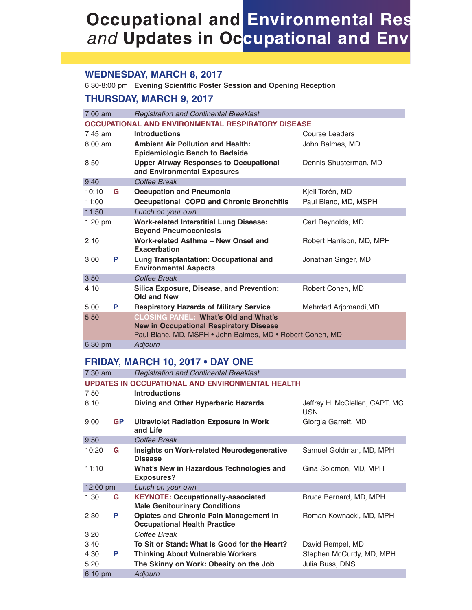## **WEDNESDAY, MARCH 8, 2017**

6:30-8:00 pm **Evening Scientific Poster Session and Opening Reception**

## **THURSDAY, MARCH 9, 2017**

| $7:00$ am         | <b>Registration and Continental Breakfast</b>                                                                                                              |                          |
|-------------------|------------------------------------------------------------------------------------------------------------------------------------------------------------|--------------------------|
|                   | <b>OCCUPATIONAL AND ENVIRONMENTAL RESPIRATORY DISEASE</b>                                                                                                  |                          |
| $7:45$ am         | <b>Introductions</b>                                                                                                                                       | Course Leaders           |
| $8:00 \text{ am}$ | <b>Ambient Air Pollution and Health:</b><br><b>Epidemiologic Bench to Bedside</b>                                                                          | John Balmes, MD          |
| 8:50              | <b>Upper Airway Responses to Occupational</b><br>and Environmental Exposures                                                                               | Dennis Shusterman, MD    |
| 9:40              | Coffee Break                                                                                                                                               |                          |
| 10:10<br>G        | <b>Occupation and Pneumonia</b>                                                                                                                            | Kjell Torén, MD          |
| 11:00             | <b>Occupational COPD and Chronic Bronchitis</b>                                                                                                            | Paul Blanc, MD, MSPH     |
| 11:50             | Lunch on your own                                                                                                                                          |                          |
| $1:20$ pm         | <b>Work-related Interstitial Lung Disease:</b><br><b>Beyond Pneumoconiosis</b>                                                                             | Carl Reynolds, MD        |
| 2:10              | Work-related Asthma - New Onset and<br><b>Exacerbation</b>                                                                                                 | Robert Harrison, MD, MPH |
| P<br>3:00         | Lung Transplantation: Occupational and<br><b>Environmental Aspects</b>                                                                                     | Jonathan Singer, MD      |
| 3:50              | Coffee Break                                                                                                                                               |                          |
| 4:10              | Silica Exposure, Disease, and Prevention:<br>Old and New                                                                                                   | Robert Cohen, MD         |
| 5:00<br>P         | <b>Respiratory Hazards of Military Service</b>                                                                                                             | Mehrdad Arjomandi, MD    |
| 5:50              | <b>CLOSING PANEL: What's Old and What's</b><br><b>New in Occupational Respiratory Disease</b><br>Paul Blanc, MD, MSPH . John Balmes, MD . Robert Cohen, MD |                          |
| 6:30 pm           | Adjourn                                                                                                                                                    |                          |

## **FRIDAY, MARCH 10, 2017 • DAY ONE**

| $7:30$ am |           | <b>Registration and Continental Breakfast</b>                                        |                                               |
|-----------|-----------|--------------------------------------------------------------------------------------|-----------------------------------------------|
|           |           | UPDATES IN OCCUPATIONAL AND ENVIRONMENTAL HEALTH                                     |                                               |
| 7:50      |           | <b>Introductions</b>                                                                 |                                               |
| 8:10      |           | Diving and Other Hyperbaric Hazards                                                  | Jeffrey H. McClellen, CAPT, MC,<br><b>USN</b> |
| 9:00      | <b>GP</b> | <b>Ultraviolet Radiation Exposure in Work</b><br>and Life                            | Giorgia Garrett, MD                           |
| 9:50      |           | Coffee Break                                                                         |                                               |
| 10:20     | G         | <b>Insights on Work-related Neurodegenerative</b><br><b>Disease</b>                  | Samuel Goldman, MD, MPH                       |
| 11:10     |           | What's New in Hazardous Technologies and<br><b>Exposures?</b>                        | Gina Solomon, MD, MPH                         |
| 12:00 pm  |           | Lunch on your own                                                                    |                                               |
| 1:30      | G         | <b>KEYNOTE: Occupationally-associated</b><br><b>Male Genitourinary Conditions</b>    | Bruce Bernard, MD, MPH                        |
| 2:30      | P         | <b>Opiates and Chronic Pain Management in</b><br><b>Occupational Health Practice</b> | Roman Kownacki, MD, MPH                       |
| 3:20      |           | Coffee Break                                                                         |                                               |
| 3:40      |           | To Sit or Stand: What Is Good for the Heart?                                         | David Rempel, MD                              |
| 4:30      | P         | <b>Thinking About Vulnerable Workers</b>                                             | Stephen McCurdy, MD, MPH                      |
| 5:20      |           | The Skinny on Work: Obesity on the Job                                               | Julia Buss, DNS                               |
| $6:10$ pm |           | Adjourn                                                                              |                                               |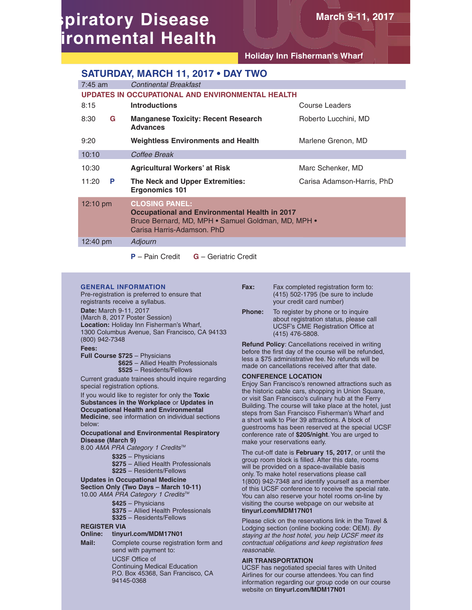# **spiratory Disease ironmental Health**

**Holiday Inn Fisherman's Wharf**

**March 9-11, 2017**

### **SATURDAY, MARCH 11, 2017 • DAY TWO**

| $7:45$ am          | <b>Continental Breakfast</b>                                                                                                                                      |                            |
|--------------------|-------------------------------------------------------------------------------------------------------------------------------------------------------------------|----------------------------|
|                    | UPDATES IN OCCUPATIONAL AND ENVIRONMENTAL HEALTH                                                                                                                  |                            |
| 8:15               | <b>Introductions</b>                                                                                                                                              | Course Leaders             |
| 8:30<br>G          | <b>Manganese Toxicity: Recent Research</b><br><b>Advances</b>                                                                                                     | Roberto Lucchini, MD       |
| 9:20               | <b>Weightless Environments and Health</b>                                                                                                                         | Marlene Grenon, MD         |
| 10:10              | Coffee Break                                                                                                                                                      |                            |
| 10:30              | <b>Agricultural Workers' at Risk</b>                                                                                                                              | Marc Schenker, MD          |
| 11:20<br>P         | The Neck and Upper Extremities:<br><b>Ergonomics 101</b>                                                                                                          | Carisa Adamson-Harris, PhD |
| $12:10 \text{ pm}$ | <b>CLOSING PANEL:</b><br><b>Occupational and Environmental Health in 2017</b><br>Bruce Bernard, MD, MPH • Samuel Goldman, MD, MPH •<br>Carisa Harris-Adamson, PhD |                            |
| 12:40 pm           | Adjourn                                                                                                                                                           |                            |
|                    | $P -$ Pain Credit<br><b>G</b> – Geriatric Credit                                                                                                                  |                            |

### **GENERAL INFORMATION**

Pre-registration is preferred to ensure that registrants receive a syllabus. **Date:** March 9-11, 2017 (March 8, 2017 Poster Session) **Location:** Holiday Inn Fisherman's Wharf, 1300 Columbus Avenue, San Francisco, CA 94133 (800) 942-7348 **Fees:**

**Full Course \$725** – Physicians **\$625** – Allied Health Professionals **\$525** – Residents/Fellows

Current graduate trainees should inquire regarding special registration options.

If you would like to register for only the **Toxic Substances in the Workplace** or **Updates in Occupational Health and Environmental Medicine**, see information on individual sections below:

**Occupational and Environmental Respiratory Disease (March 9)**

8.00 AMA PRA Category 1 Credits™

**\$325** – Physicians

**\$275** – Allied Health Professionals

**\$225** – Residents/Fellows

### **Updates in Occupational Medicine**

**Section Only (Two Days – March 10-11)** 10.00 AMA PRA Category 1 Credits™

- - **\$425** Physicians
	- **\$375** Allied Health Professionals
	- **\$325** Residents/Fellows

### **REGISTER VIA**

### **Online: tinyurl.com/MDM17N01**

**Mail:** Complete course registration form and send with payment to:

> UCSF Office of Continuing Medical Education P.O. Box 45368, San Francisco, CA 94145-0368

- Fax: Fax completed registration form to: (415) 502-1795 (be sure to include your credit card number)
- **Phone:** To register by phone or to inquire about registration status, please call UCSF's CME Registration Office at (415) 476-5808.

**Refund Policy**: Cancellations received in writing before the first day of the course will be refunded, less a \$75 administrative fee. No refunds will be made on cancellations received after that date.

### **CONFERENCE LOCATION**

Enjoy San Francisco's renowned attractions such as the historic cable cars, shopping in Union Square, or visit San Francisco's culinary hub at the Ferry Building. The course will take place at the hotel, just steps from San Francisco Fisherman's Wharf and a short walk to Pier 39 attractions. A block of guestrooms has been reserved at the special UCSF conference rate of **\$205/night**. You are urged to make your reservations early.

The cut-off date is **February 15, 2017**, or until the group room block is filled. After this date, rooms will be provided on a space-available basis only. To make hotel reservations please call 1(800) 942-7348 and identify yourself as a member of this UCSF conference to receive the special rate. You can also reserve your hotel rooms on-line by visiting the course webpage on our website at **tinyurl.com/MDM17N01** 

Please click on the reservations link in the Travel & Lodging section (online booking code: OEM). By staying at the host hotel, you help UCSF meet its contractual obligations and keep registration fees reasonable.

### **AIR TRANSPORTATION**

UCSF has negotiated special fares with United Airlines for our course attendees. You can find information regarding our group code on our course website on **tinyurl.com/MDM17N01**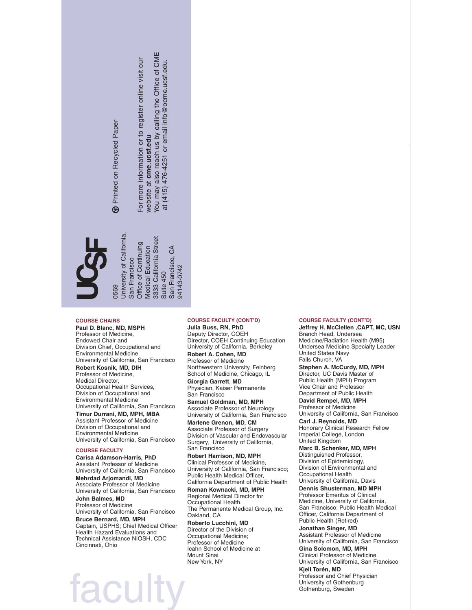**19 Printed on Recycled Paper** 

 $\circledast$ 

### **COURSE CHAIRS**

Contract and Microscopy of Microscopy of Microscopy of Microscopy of the Control of the Control of Microscopy of Microscopy of the Control of the Control of the Control of the Control of the Control of the Control of the C **Paul D. Blanc, MD, MSPH** Professor of Medicine, Endowed Chair and Division Chief, Occupational and Environmental Medicine University of California, San Francisco **Robert Kosnik, MD, DIH** Professor of Medicine, Medical Director, Occupational Health Services, Division of Occupational and Environmental Medicine University of California, San Francisco

**Timur Durrani, MD, MPH, MBA** Assistant Professor of Medicine Division of Occupational and Environmental Medicine University of California, San Francisco

### **COURSE FACULTY**

**Carisa Adamson-Harris, PhD** Assistant Professor of Medicine University of California, San Francisco **Mehrdad Arjomandi, MD** Associate Professor of Medicine University of California, San Francisco **John Balmes, MD**

Professor of Medicine University of California, San Francisco

**Bruce Bernard, MD, MPH** Captain, USPHS; Chief Medical Officer Health Hazard Evaluations and Technical Assistance NIOSH, CDC Cincinnati, Ohio

### **COURSE FACULTY (CONT'D) Julia Buss, RN, PhD**

Deputy Director, COEH Director, COEH Continuing Education University of California, Berkeley

**Robert A. Cohen, MD** Professor of Medicine Northwestern University, Feinberg School of Medicine, Chicago, IL

**Giorgia Garrett, MD** Physician, Kaiser Permanente San Francisco

**Samuel Goldman, MD, MPH** Associate Professor of Neurology University of California, San Francisco

**Marlene Grenon, MD, CM** Associate Professor of Surgery Division of Vascular and Endovascular Surgery, University of California, San Francisco

**Robert Harrison, MD, MPH** Clinical Professor of Medicine, University of California, San Francisco; Public Health Medical Officer, California Department of Public Health

**Roman Kownacki, MD, MPH** Regional Medical Director for Occupational Health, The Permanente Medical Group, Inc. Oakland, CA

**Roberto Lucchini, MD** Director of the Division of Occupational Medicine; Professor of Medicine Icahn School of Medicine at Mount Sinai New York, NY

#### **COURSE FACULTY (CONT'D)**

**Jeffrey H. McClellen ,CAPT, MC, USN** Branch Head, Undersea Medicine/Radiation Health (M95) Undersea Medicine Specialty Leader United States Navy Falls Church, VA

**Stephen A. McCurdy, MD, MPH** Director, UC Davis Master of Public Health (MPH) Program Vice Chair and Professor Department of Public Health

**David Rempel, MD, MPH** Professor of Medicine University of California, San Francisco

**Carl J. Reynolds, MD** Honorary Clinical Research Fellow Imperial College, London United Kingdom

**Marc B. Schenker, MD, MPH** Distinguished Professor, Division of Epidemiology, Division of Environmental and Occupational Health University of California, Davis

**Dennis Shusterman, MD MPH** Professor Emeritus of Clinical Medicine, University of California, San Francisco; Public Health Medical Officer, California Department of Public Health (Retired)

**Jonathan Singer, MD** Assistant Professor of Medicine University of California, San Francisco

**Gina Solomon, MD, MPH** Clinical Professor of Medicine

University of California, San Francisco **Kjell Torén, MD**

Professor and Chief Physician University of Gothenburg Gothenburg, Sweden